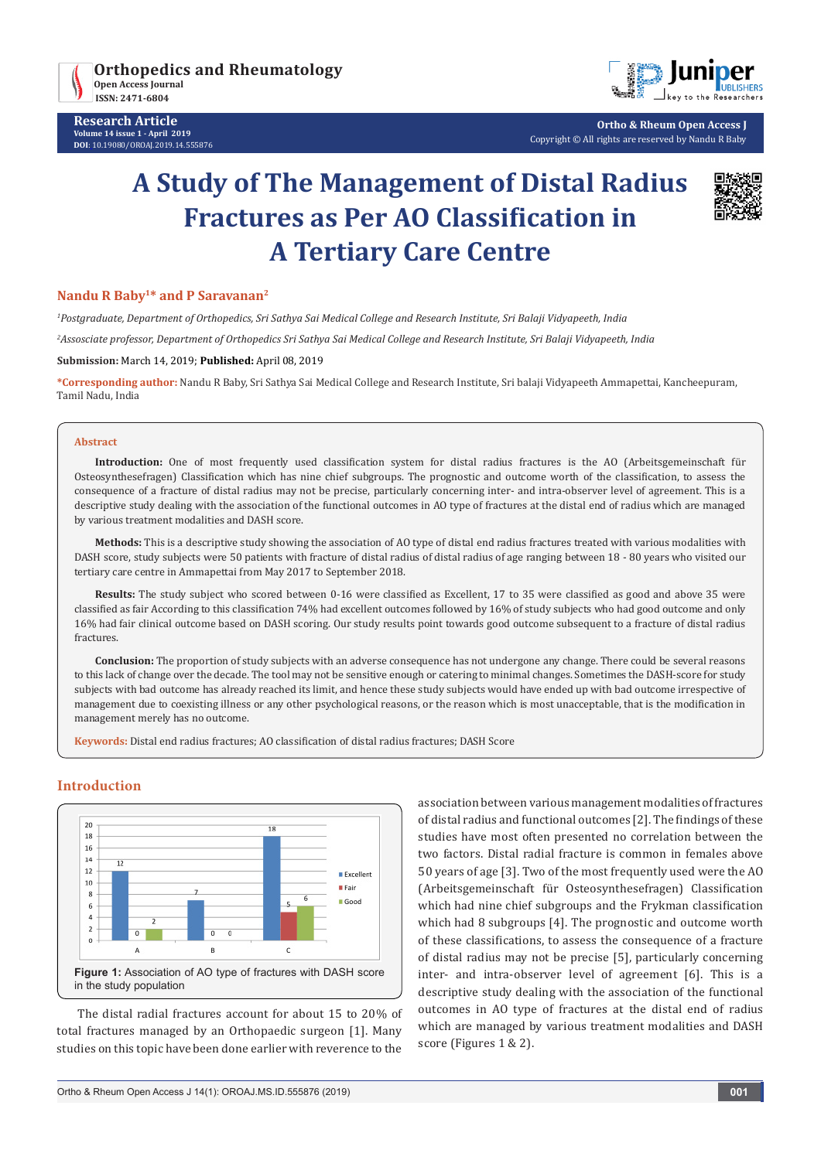



**Ortho & Rheum Open Access J** Copyright © All rights are reserved by Nandu R Baby

# **A Study of The Management of Distal Radius Fractures as Per AO Classification in A Tertiary Care Centre**



# **Nandu R Baby1\* and P Saravanan2**

*1 Postgraduate, Department of Orthopedics, Sri Sathya Sai Medical College and Research Institute, Sri Balaji Vidyapeeth, India*

*2 Assosciate professor, Department of Orthopedics Sri Sathya Sai Medical College and Research Institute, Sri Balaji Vidyapeeth, India*

**Submission:** March 14, 2019; **Published:** April 08, 2019

**\*Corresponding author:** Nandu R Baby, Sri Sathya Sai Medical College and Research Institute, Sri balaji Vidyapeeth Ammapettai, Kancheepuram, Tamil Nadu, India

#### **Abstract**

**Introduction:** One of most frequently used classification system for distal radius fractures is the AO (Arbeitsgemeinschaft für Osteosynthesefragen) Classification which has nine chief subgroups. The prognostic and outcome worth of the classification, to assess the consequence of a fracture of distal radius may not be precise, particularly concerning inter- and intra-observer level of agreement. This is a descriptive study dealing with the association of the functional outcomes in AO type of fractures at the distal end of radius which are managed by various treatment modalities and DASH score.

**Methods:** This is a descriptive study showing the association of AO type of distal end radius fractures treated with various modalities with DASH score, study subjects were 50 patients with fracture of distal radius of distal radius of age ranging between 18 - 80 years who visited our tertiary care centre in Ammapettai from May 2017 to September 2018.

**Results:** The study subject who scored between 0-16 were classified as Excellent, 17 to 35 were classified as good and above 35 were classified as fair According to this classification 74% had excellent outcomes followed by 16% of study subjects who had good outcome and only 16% had fair clinical outcome based on DASH scoring. Our study results point towards good outcome subsequent to a fracture of distal radius fractures.

**Conclusion:** The proportion of study subjects with an adverse consequence has not undergone any change. There could be several reasons to this lack of change over the decade. The tool may not be sensitive enough or catering to minimal changes. Sometimes the DASH-score for study subjects with bad outcome has already reached its limit, and hence these study subjects would have ended up with bad outcome irrespective of management due to coexisting illness or any other psychological reasons, or the reason which is most unacceptable, that is the modification in management merely has no outcome.

**Keywords:** Distal end radius fractures; AO classification of distal radius fractures; DASH Score

# **Introduction**



The distal radial fractures account for about 15 to 20% of total fractures managed by an Orthopaedic surgeon [1]. Many studies on this topic have been done earlier with reverence to the association between various management modalities of fractures of distal radius and functional outcomes [2]. The findings of these studies have most often presented no correlation between the two factors. Distal radial fracture is common in females above 50 years of age [3]. Two of the most frequently used were the AO (Arbeitsgemeinschaft für Osteosynthesefragen) Classification which had nine chief subgroups and the Frykman classification which had 8 subgroups [4]. The prognostic and outcome worth of these classifications, to assess the consequence of a fracture of distal radius may not be precise [5], particularly concerning inter- and intra-observer level of agreement [6]. This is a descriptive study dealing with the association of the functional outcomes in AO type of fractures at the distal end of radius which are managed by various treatment modalities and DASH score (Figures 1 & 2).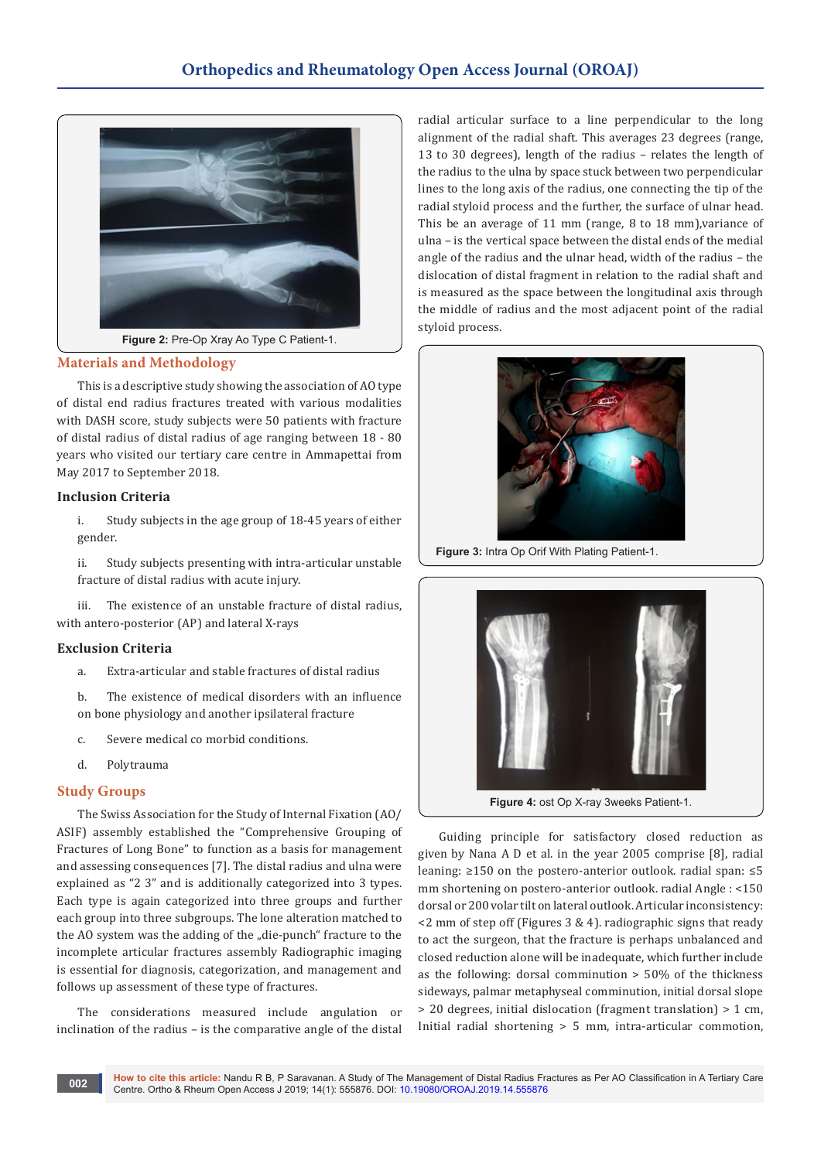

#### **Materials and Methodology**

This is a descriptive study showing the association of AO type of distal end radius fractures treated with various modalities with DASH score, study subjects were 50 patients with fracture of distal radius of distal radius of age ranging between 18 - 80 years who visited our tertiary care centre in Ammapettai from May 2017 to September 2018.

## **Inclusion Criteria**

i. Study subjects in the age group of 18-45 years of either gender.

ii. Study subjects presenting with intra-articular unstable fracture of distal radius with acute injury.

The existence of an unstable fracture of distal radius, with antero-posterior (AP) and lateral X-rays

#### **Exclusion Criteria**

- a. Extra-articular and stable fractures of distal radius
- b. The existence of medical disorders with an influence on bone physiology and another ipsilateral fracture
- c. Severe medical co morbid conditions.
- d. Polytrauma

#### **Study Groups**

The Swiss Association for the Study of Internal Fixation (AO/ ASIF) assembly established the "Comprehensive Grouping of Fractures of Long Bone" to function as a basis for management and assessing consequences [7]. The distal radius and ulna were explained as "2 3" and is additionally categorized into 3 types. Each type is again categorized into three groups and further each group into three subgroups. The lone alteration matched to the AO system was the adding of the "die-punch" fracture to the incomplete articular fractures assembly Radiographic imaging is essential for diagnosis, categorization, and management and follows up assessment of these type of fractures.

The considerations measured include angulation or inclination of the radius – is the comparative angle of the distal

radial articular surface to a line perpendicular to the long alignment of the radial shaft. This averages 23 degrees (range, 13 to 30 degrees), length of the radius – relates the length of the radius to the ulna by space stuck between two perpendicular lines to the long axis of the radius, one connecting the tip of the radial styloid process and the further, the surface of ulnar head. This be an average of 11 mm (range, 8 to 18 mm),variance of ulna – is the vertical space between the distal ends of the medial angle of the radius and the ulnar head, width of the radius – the dislocation of distal fragment in relation to the radial shaft and is measured as the space between the longitudinal axis through the middle of radius and the most adjacent point of the radial styloid process.



**Figure 3:** Intra Op Orif With Plating Patient-1.



Guiding principle for satisfactory closed reduction as given by Nana A D et al. in the year 2005 comprise [8], radial leaning: ≥150 on the postero-anterior outlook. radial span: ≤5 mm shortening on postero-anterior outlook. radial Angle : <150 dorsal or 200 volar tilt on lateral outlook. Articular inconsistency:  $\leq$  2 mm of step off (Figures 3 & 4). radiographic signs that ready to act the surgeon, that the fracture is perhaps unbalanced and closed reduction alone will be inadequate, which further include as the following: dorsal comminution > 50% of the thickness sideways, palmar metaphyseal comminution, initial dorsal slope > 20 degrees, initial dislocation (fragment translation) > 1 cm, Initial radial shortening > 5 mm, intra-articular commotion,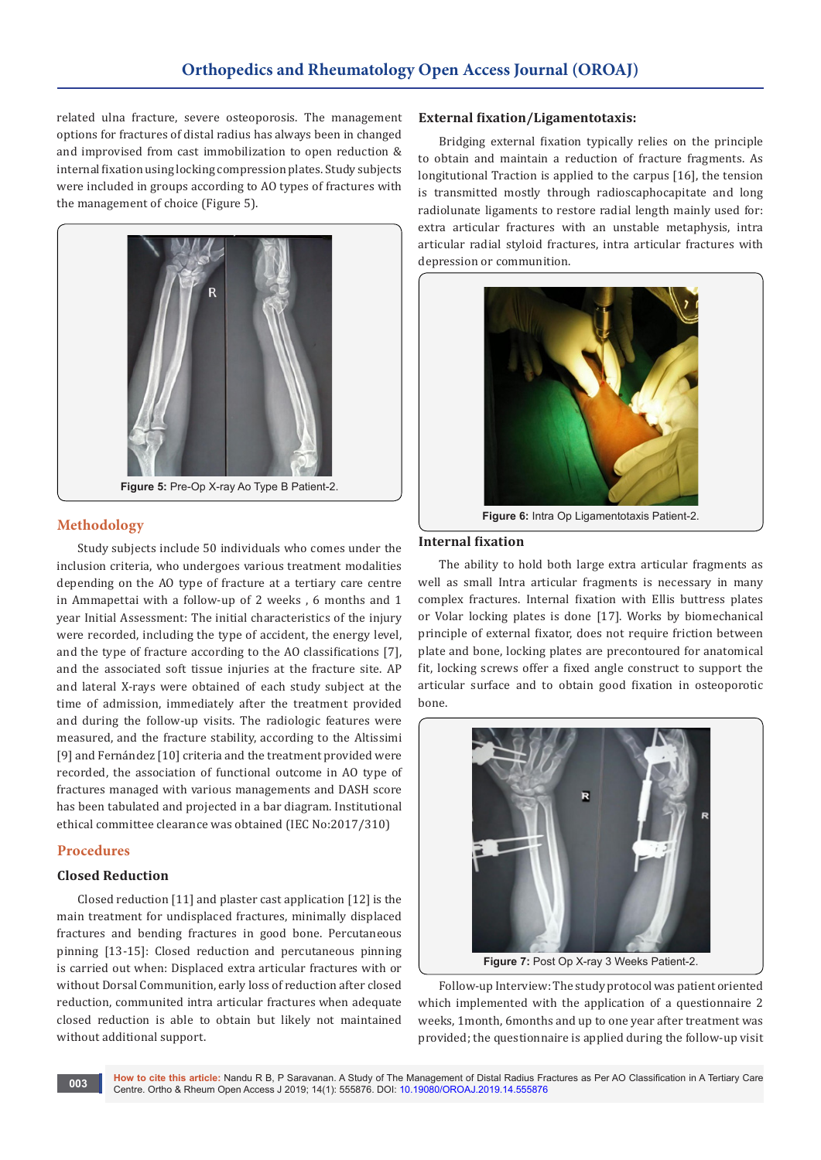related ulna fracture, severe osteoporosis. The management options for fractures of distal radius has always been in changed and improvised from cast immobilization to open reduction & internal fixation using locking compression plates. Study subjects were included in groups according to AO types of fractures with the management of choice (Figure 5).



# **Methodology**

Study subjects include 50 individuals who comes under the inclusion criteria, who undergoes various treatment modalities depending on the AO type of fracture at a tertiary care centre in Ammapettai with a follow-up of 2 weeks , 6 months and 1 year Initial Assessment: The initial characteristics of the injury were recorded, including the type of accident, the energy level, and the type of fracture according to the AO classifications [7], and the associated soft tissue injuries at the fracture site. AP and lateral X-rays were obtained of each study subject at the time of admission, immediately after the treatment provided and during the follow-up visits. The radiologic features were measured, and the fracture stability, according to the Altissimi [9] and Fernández [10] criteria and the treatment provided were recorded, the association of functional outcome in AO type of fractures managed with various managements and DASH score has been tabulated and projected in a bar diagram. Institutional ethical committee clearance was obtained (IEC No:2017/310)

## **Procedures**

## **Closed Reduction**

Closed reduction [11] and plaster cast application [12] is the main treatment for undisplaced fractures, minimally displaced fractures and bending fractures in good bone. Percutaneous pinning [13-15]: Closed reduction and percutaneous pinning is carried out when: Displaced extra articular fractures with or without Dorsal Communition, early loss of reduction after closed reduction, communited intra articular fractures when adequate closed reduction is able to obtain but likely not maintained without additional support.

#### **External fixation/Ligamentotaxis:**

Bridging external fixation typically relies on the principle to obtain and maintain a reduction of fracture fragments. As longitutional Traction is applied to the carpus [16], the tension is transmitted mostly through radioscaphocapitate and long radiolunate ligaments to restore radial length mainly used for: extra articular fractures with an unstable metaphysis, intra articular radial styloid fractures, intra articular fractures with depression or communition.



**Figure 6:** Intra Op Ligamentotaxis Patient-2.

#### **Internal fixation**

The ability to hold both large extra articular fragments as well as small Intra articular fragments is necessary in many complex fractures. Internal fixation with Ellis buttress plates or Volar locking plates is done [17]. Works by biomechanical principle of external fixator, does not require friction between plate and bone, locking plates are precontoured for anatomical fit, locking screws offer a fixed angle construct to support the articular surface and to obtain good fixation in osteoporotic bone.



**Figure 7:** Post Op X-ray 3 Weeks Patient-2.

Follow-up Interview: The study protocol was patient oriented which implemented with the application of a questionnaire 2 weeks, 1month, 6months and up to one year after treatment was provided; the questionnaire is applied during the follow-up visit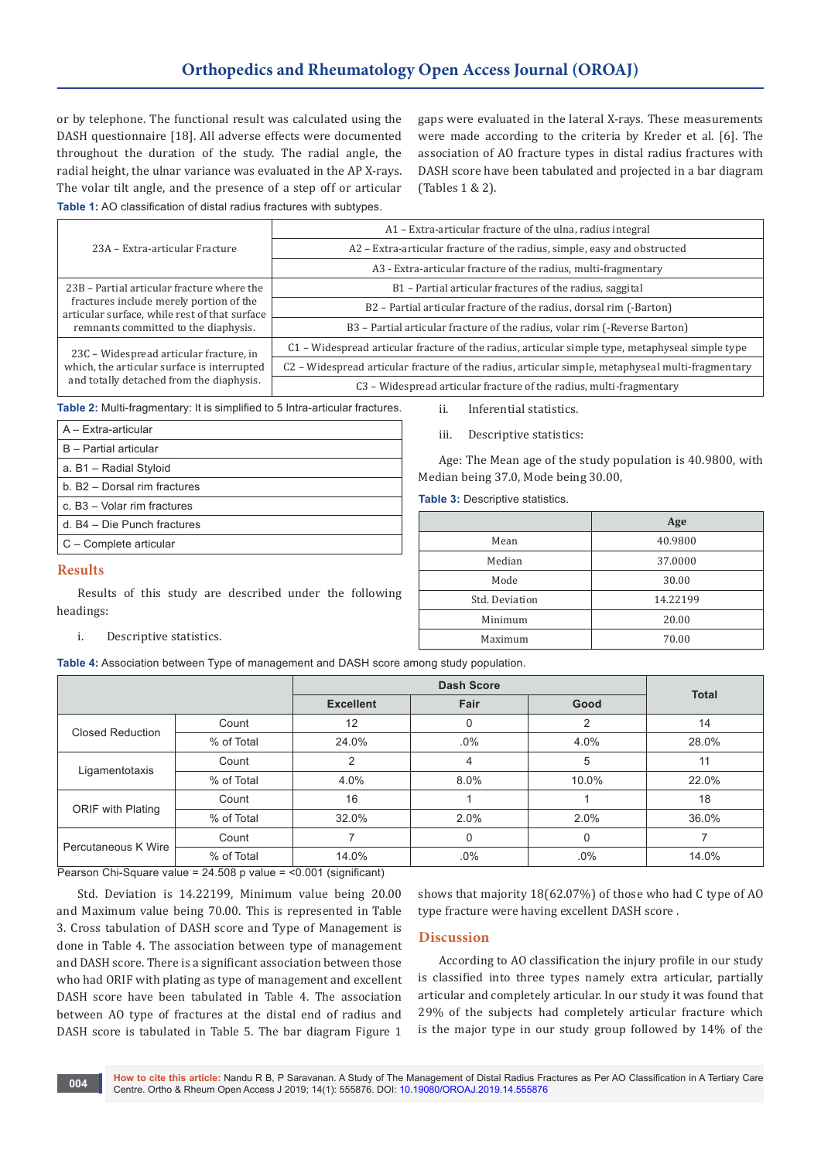# **Orthopedics and Rheumatology Open Access Journal (OROAJ)**

or by telephone. The functional result was calculated using the DASH questionnaire [18]. All adverse effects were documented throughout the duration of the study. The radial angle, the radial height, the ulnar variance was evaluated in the AP X-rays. The volar tilt angle, and the presence of a step off or articular gaps were evaluated in the lateral X-rays. These measurements were made according to the criteria by Kreder et al. [6]. The association of AO fracture types in distal radius fractures with DASH score have been tabulated and projected in a bar diagram (Tables 1 & 2).

**Table 1:** AO classification of distal radius fractures with subtypes.

|                                                                                          | A1 – Extra-articular fracture of the ulna, radius integral                                        |  |  |
|------------------------------------------------------------------------------------------|---------------------------------------------------------------------------------------------------|--|--|
| 23A - Extra-articular Fracture                                                           | A2 - Extra-articular fracture of the radius, simple, easy and obstructed                          |  |  |
|                                                                                          | A3 - Extra-articular fracture of the radius, multi-fragmentary                                    |  |  |
| 23B - Partial articular fracture where the                                               | B1 - Partial articular fractures of the radius, saggital                                          |  |  |
| fractures include merely portion of the<br>articular surface, while rest of that surface | B2 - Partial articular fracture of the radius, dorsal rim (-Barton)                               |  |  |
| remnants committed to the diaphysis.                                                     | B3 - Partial articular fracture of the radius, volar rim (-Reverse Barton)                        |  |  |
| 23C - Widespread articular fracture, in                                                  | C1 – Widespread articular fracture of the radius, articular simple type, metaphyseal simple type  |  |  |
| which, the articular surface is interrupted                                              | C2 – Widespread articular fracture of the radius, articular simple, metaphyseal multi-fragmentary |  |  |
| and totally detached from the diaphysis.                                                 | C3 – Widespread articular fracture of the radius, multi-fragmentary                               |  |  |

**Table 2:** Multi-fragmentary: It is simplified to 5 Intra-articular fractures.

| $A - Fx$ tra-articular       |
|------------------------------|
| B - Partial articular        |
| a. B1 - Radial Styloid       |
| b. B2 - Dorsal rim fractures |
| c. B3 - Volar rim fractures  |
| d. B4 - Die Punch fractures  |
| C - Complete articular       |
| <b>Results</b>               |

Results of this study are described under the following

ii. Inferential statistics.

iii. Descriptive statistics:

Age: The Mean age of the study population is 40.9800, with Median being 37.0, Mode being 30.00,

**Table 3:** Descriptive statistics.

|                | Age      |
|----------------|----------|
| Mean           | 40.9800  |
| Median         | 37.0000  |
| Mode           | 30.00    |
| Std. Deviation | 14.22199 |
| Minimum        | 20.00    |
| Maximum        | 70.00    |

i. Descriptive statistics.

headings:

**Table 4:** Association between Type of management and DASH score among study population.

|                     |            | <b>Dash Score</b> |          |        | <b>Total</b> |
|---------------------|------------|-------------------|----------|--------|--------------|
|                     |            | <b>Excellent</b>  | Fair     | Good   |              |
| Closed Reduction    | Count      | $12 \overline{ }$ | 0        | 2      | 14           |
|                     | % of Total | 24.0%             | $.0\%$   | 4.0%   | 28.0%        |
| Ligamentotaxis      | Count      |                   | 4        | 5      | 11           |
|                     | % of Total | 4.0%              | 8.0%     | 10.0%  | 22.0%        |
| ORIF with Plating   | Count      | 16                |          |        | 18           |
|                     | % of Total | 32.0%             | 2.0%     | 2.0%   | 36.0%        |
| Percutaneous K Wire | Count      |                   | $\Omega$ | 0      |              |
|                     | % of Total | 14.0%             | $.0\%$   | $.0\%$ | 14.0%        |

Pearson Chi-Square value = 24.508 p value = <0.001 (significant)

Std. Deviation is 14.22199, Minimum value being 20.00 and Maximum value being 70.00. This is represented in Table 3. Cross tabulation of DASH score and Type of Management is done in Table 4. The association between type of management and DASH score. There is a significant association between those who had ORIF with plating as type of management and excellent DASH score have been tabulated in Table 4. The association between AO type of fractures at the distal end of radius and DASH score is tabulated in Table 5. The bar diagram Figure 1

shows that majority 18(62.07%) of those who had C type of AO type fracture were having excellent DASH score .

**Discussion**

According to AO classification the injury profile in our study is classified into three types namely extra articular, partially articular and completely articular. In our study it was found that 29% of the subjects had completely articular fracture which is the major type in our study group followed by 14% of the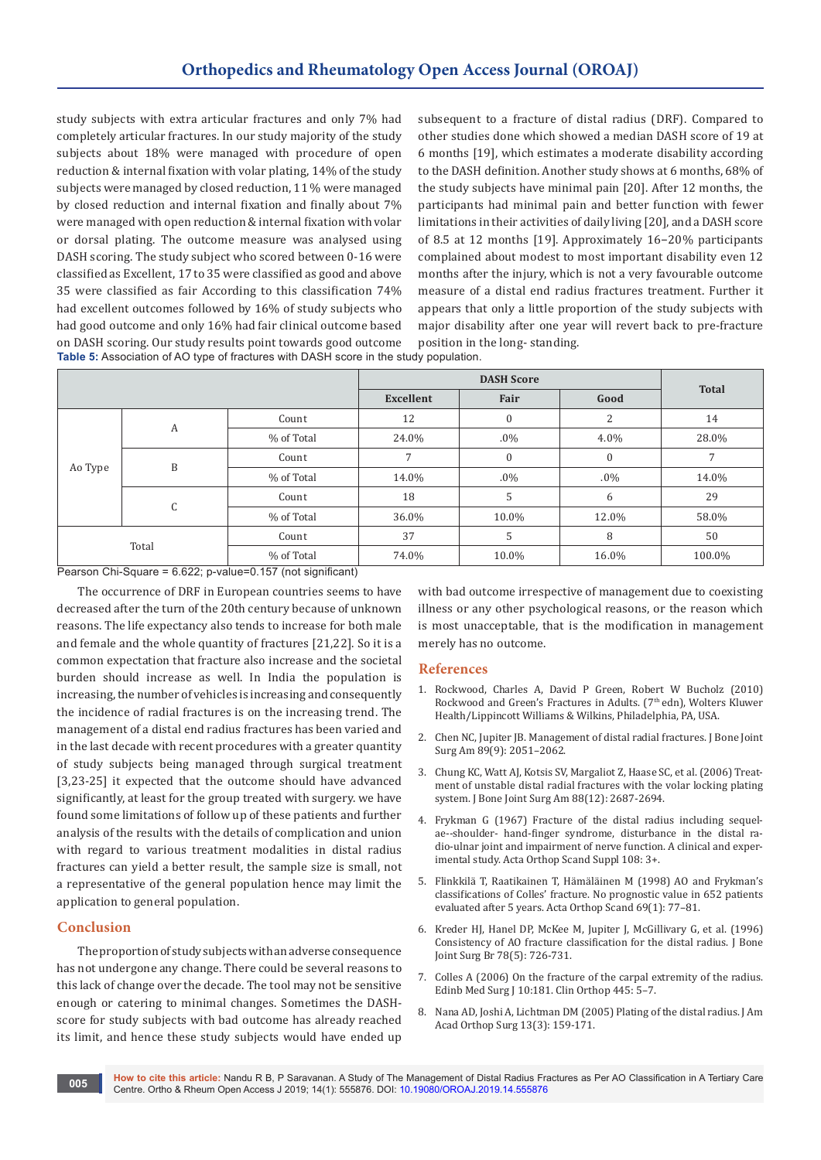study subjects with extra articular fractures and only 7% had completely articular fractures. In our study majority of the study subjects about 18% were managed with procedure of open reduction & internal fixation with volar plating, 14% of the study subjects were managed by closed reduction, 11 % were managed by closed reduction and internal fixation and finally about 7% were managed with open reduction & internal fixation with volar or dorsal plating. The outcome measure was analysed using DASH scoring. The study subject who scored between 0-16 were classified as Excellent, 17 to 35 were classified as good and above 35 were classified as fair According to this classification 74% had excellent outcomes followed by 16% of study subjects who had good outcome and only 16% had fair clinical outcome based on DASH scoring. Our study results point towards good outcome subsequent to a fracture of distal radius (DRF). Compared to other studies done which showed a median DASH score of 19 at 6 months [19], which estimates a moderate disability according to the DASH definition. Another study shows at 6 months, 68% of the study subjects have minimal pain [20]. After 12 months, the participants had minimal pain and better function with fewer limitations in their activities of daily living [20], and a DASH score of 8.5 at 12 months [19]. Approximately 16−20% participants complained about modest to most important disability even 12 months after the injury, which is not a very favourable outcome measure of a distal end radius fractures treatment. Further it appears that only a little proportion of the study subjects with major disability after one year will revert back to pre-fracture position in the long- standing.

**Table 5:** Association of AO type of fractures with DASH score in the study population.

|       |              |            | <b>DASH Score</b> |              |                | <b>Total</b> |
|-------|--------------|------------|-------------------|--------------|----------------|--------------|
|       |              |            | <b>Excellent</b>  | Fair         | Good           |              |
|       | A            | Count      | 12                | $\mathbf{0}$ | $\overline{2}$ | 14           |
|       |              | % of Total | 24.0%             | $.0\%$       | 4.0%           | 28.0%        |
|       | B<br>Ao Type | Count      |                   | $\mathbf{0}$ | $\mathbf{0}$   |              |
|       |              | % of Total | 14.0%             | $.0\%$       | $.0\%$         | 14.0%        |
|       | C            | Count      | 18                | 5            | 6              | 29           |
|       |              | % of Total | 36.0%             | 10.0%        | 12.0%          | 58.0%        |
| Total |              | Count      | 37                | 5            | 8              | 50           |
|       |              | % of Total | 74.0%             | 10.0%        | 16.0%          | 100.0%       |

Pearson Chi-Square = 6.622; p-value=0.157 (not significant)

The occurrence of DRF in European countries seems to have decreased after the turn of the 20th century because of unknown reasons. The life expectancy also tends to increase for both male and female and the whole quantity of fractures [21,22]. So it is a common expectation that fracture also increase and the societal burden should increase as well. In India the population is increasing, the number of vehicles is increasing and consequently the incidence of radial fractures is on the increasing trend. The management of a distal end radius fractures has been varied and in the last decade with recent procedures with a greater quantity of study subjects being managed through surgical treatment [3,23-25] it expected that the outcome should have advanced significantly, at least for the group treated with surgery. we have found some limitations of follow up of these patients and further analysis of the results with the details of complication and union with regard to various treatment modalities in distal radius fractures can yield a better result, the sample size is small, not a representative of the general population hence may limit the application to general population.

## **Conclusion**

The proportion of study subjects with an adverse consequence has not undergone any change. There could be several reasons to this lack of change over the decade. The tool may not be sensitive enough or catering to minimal changes. Sometimes the DASHscore for study subjects with bad outcome has already reached its limit, and hence these study subjects would have ended up

with bad outcome irrespective of management due to coexisting illness or any other psychological reasons, or the reason which is most unacceptable, that is the modification in management merely has no outcome.

## **References**

- 1. Rockwood, Charles A, David P Green, Robert W Bucholz (2010) Rockwood and Green's Fractures in Adults. (7<sup>th</sup> edn), Wolters Kluwer Health/Lippincott Williams & Wilkins, Philadelphia, PA, USA.
- 2. [Chen NC, Jupiter JB. Management of distal radial fractures. J Bone Joint](https://www.ncbi.nlm.nih.gov/pubmed/17768207)  [Surg Am 89\(9\): 2051–2062.](https://www.ncbi.nlm.nih.gov/pubmed/17768207)
- 3. [Chung KC, Watt AJ, Kotsis SV, Margaliot Z, Haase SC, et al. \(2006\) Treat](https://www.ncbi.nlm.nih.gov/pubmed/17142419)[ment of unstable distal radial fractures with the volar locking plating](https://www.ncbi.nlm.nih.gov/pubmed/17142419)  [system. J Bone Joint Surg Am 88\(12\): 2687-2694.](https://www.ncbi.nlm.nih.gov/pubmed/17142419)
- 4. [Frykman G \(1967\) Fracture of the distal radius including sequel](https://www.ncbi.nlm.nih.gov/pubmed/4175195)[ae--shoulder- hand-finger syndrome, disturbance in the distal ra](https://www.ncbi.nlm.nih.gov/pubmed/4175195)[dio-ulnar joint and impairment of nerve function. A clinical and exper](https://www.ncbi.nlm.nih.gov/pubmed/4175195)[imental study. Acta Orthop Scand Suppl 108: 3+.](https://www.ncbi.nlm.nih.gov/pubmed/4175195)
- 5. [Flinkkilä T, Raatikainen T, Hämäläinen M \(1998\) AO and Frykman's](https://www.ncbi.nlm.nih.gov/pubmed/9524524)  [classifications of Colles' fracture. No prognostic value in 652 patients](https://www.ncbi.nlm.nih.gov/pubmed/9524524)  [evaluated after 5 years. Acta Orthop Scand 69\(1\): 77–81.](https://www.ncbi.nlm.nih.gov/pubmed/9524524)
- 6. [Kreder HJ, Hanel DP, McKee M, Jupiter J, McGillivary G, et al. \(1996\)](https://www.ncbi.nlm.nih.gov/pubmed/8836058)  [Consistency of AO fracture classification for the distal radius. J Bone](https://www.ncbi.nlm.nih.gov/pubmed/8836058)  [Joint Surg Br 78\(5\): 726-731.](https://www.ncbi.nlm.nih.gov/pubmed/8836058)
- 7. [Colles A \(2006\) On the fracture of the carpal extremity of the radius.](https://www.ncbi.nlm.nih.gov/pubmed/16601406)  [Edinb Med Surg J 10:181. Clin Orthop 445: 5–7.](https://www.ncbi.nlm.nih.gov/pubmed/16601406)
- 8. [Nana AD, Joshi A, Lichtman DM \(2005\) Plating of the distal radius. J Am](https://www.ncbi.nlm.nih.gov/pubmed/15938605)  [Acad Orthop Surg 13\(3\): 159-171.](https://www.ncbi.nlm.nih.gov/pubmed/15938605)